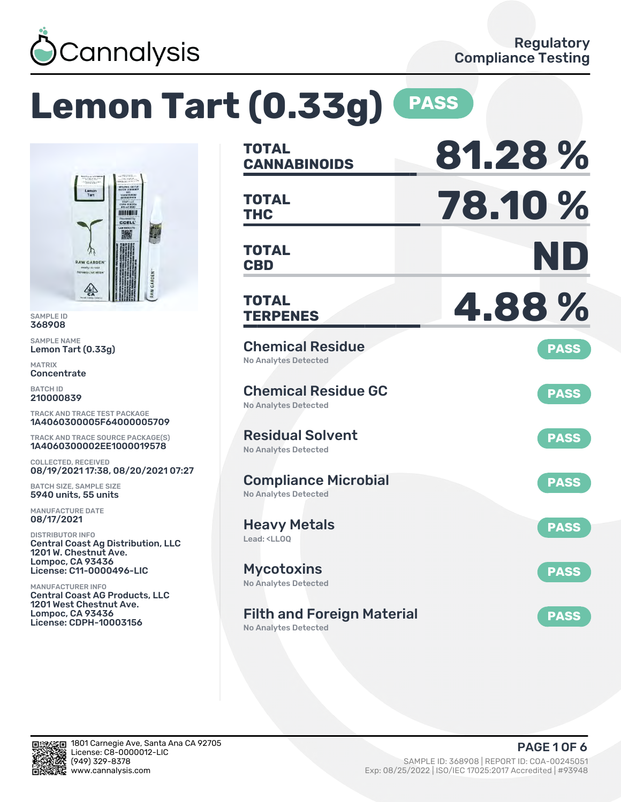

# **Lemon Tart (0.33g) PASS**



SAMPLE ID 368908

SAMPLE NAME Lemon Tart (0.33g)

MATRIX **Concentrate** 

BATCH ID 210000839

TRACK AND TRACE TEST PACKAGE 1A4060300005F64000005709

TRACK AND TRACE SOURCE PACKAGE(S) 1A4060300002EE1000019578

COLLECTED, RECEIVED 08/19/2021 17:38, 08/20/2021 07:27

BATCH SIZE, SAMPLE SIZE 5940 units, 55 units

MANUFACTURE DATE 08/17/2021

DISTRIBUTOR INFO Central Coast Ag Distribution, LLC 1201 W. Chestnut Ave. Lompoc, CA 93436 License: C11-0000496-LIC

MANUFACTURER INFO Central Coast AG Products, LLC 1201 West Chestnut Ave. Lompoc, CA 93436 License: CDPH-10003156

| <b>TOTAL</b><br><b>CANNABINOIDS</b>                                    | 81.28%      |
|------------------------------------------------------------------------|-------------|
| <b>TOTAL</b><br><b>THC</b>                                             | 78.10 %     |
| <b>TOTAL</b><br><b>CBD</b>                                             | ND          |
| <b>TOTAL</b><br><b>TERPENES</b>                                        | 4.88%       |
| <b>Chemical Residue</b><br><b>No Analytes Detected</b>                 | <b>PASS</b> |
| <b>Chemical Residue GC</b><br>No Analytes Detected                     | <b>PASS</b> |
| <b>Residual Solvent</b><br><b>No Analytes Detected</b>                 | <b>PASS</b> |
| <b>Compliance Microbial</b><br><b>No Analytes Detected</b>             | <b>PASS</b> |
| <b>Heavy Metals</b><br>Lead: <ll00< td=""><td><b>PASS</b></td></ll00<> | <b>PASS</b> |
| <b>Mycotoxins</b><br>No Analytes Detected                              | <b>PASS</b> |
| <b>Filth and Foreign Material</b><br>No Analytes Detected              | <b>PASS</b> |

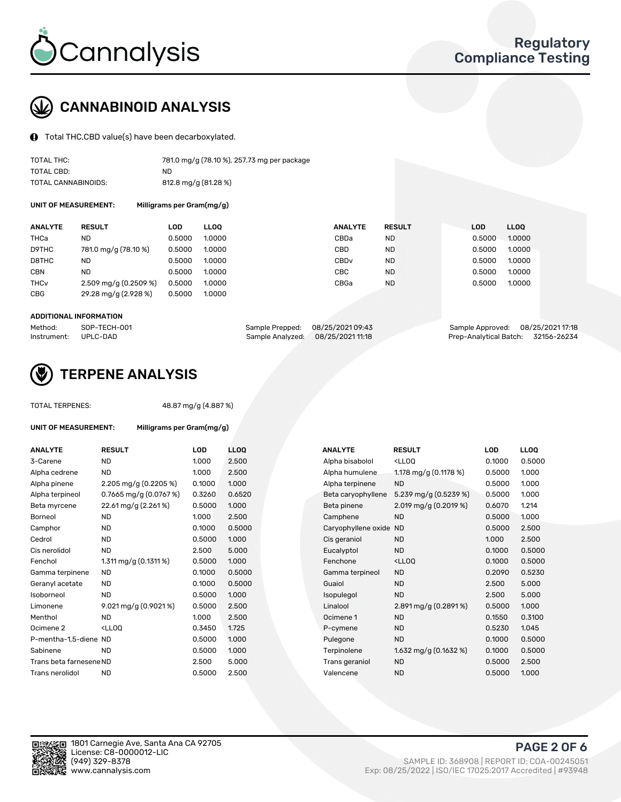

## CANNABINOID ANALYSIS

Total THC,CBD value(s) have been decarboxylated.

| TOTAL THC:          | 781.0 mg/g (78.10 %), 257.73 mg per package |
|---------------------|---------------------------------------------|
| TOTAL CBD:          | ND.                                         |
| TOTAL CANNABINOIDS: | 812.8 mg/g (81.28 %)                        |

UNIT OF MEASUREMENT: Milligrams per Gram(mg/g)

| <b>ANALYTE</b>         | <b>RESULT</b>                      | <b>LOD</b> | <b>LLOO</b> | <b>ANALYTE</b>   | <b>RESULT</b> | <b>LOD</b> | <b>LLOO</b> |
|------------------------|------------------------------------|------------|-------------|------------------|---------------|------------|-------------|
| THCa                   | ND                                 | 0.5000     | 1.0000      | CBDa             | <b>ND</b>     | 0.5000     | 1.0000      |
| D9THC                  | 781.0 mg/g (78.10 %)               | 0.5000     | 1.0000      | CBD              | <b>ND</b>     | 0.5000     | 1.0000      |
| D8THC                  | ND                                 | 0.5000     | 1.0000      | CBD <sub>v</sub> | <b>ND</b>     | 0.5000     | 1.0000      |
| <b>CBN</b>             | <b>ND</b>                          | 0.5000     | 1.0000      | CBC              | <b>ND</b>     | 0.5000     | 1.0000      |
| <b>THC<sub>v</sub></b> | $2.509 \,\mathrm{mq/q}$ (0.2509 %) | 0.5000     | 1.0000      | CBGa             | <b>ND</b>     | 0.5000     | 1.0000      |
| <b>CBG</b>             | 29.28 mg/g (2.928 %)               | 0.5000     | 1.0000      |                  |               |            |             |
|                        |                                    |            |             |                  |               |            |             |

#### ADDITIONAL INFORMATION

| Method:              | SOP-TECH-001 | Sample Prepped: 08/25/2021 09:43  | Sample Approved: 08/25/2021 17:18  |  |
|----------------------|--------------|-----------------------------------|------------------------------------|--|
| Instrument: UPLC-DAD |              | Sample Analyzed: 08/25/2021 11:18 | Prep-Analytical Batch: 32156-26234 |  |



## TERPENE ANALYSIS

TOTAL TERPENES: 48.87 mg/g (4.887 %)

| UNIT OF MEASUREMENT:    | Milligrams per Gram(mg/g)                         |        |                  |
|-------------------------|---------------------------------------------------|--------|------------------|
| <b>ANALYTE</b>          | <b>RESULT</b>                                     | LOD    | LLC              |
| 3-Carene                | <b>ND</b>                                         | 1.000  | 2.5(             |
| Alpha cedrene           | <b>ND</b>                                         | 1.000  | 2.5(             |
| Alpha pinene            | 2.205 mg/g (0.2205 %)                             | 0.1000 | 1.00             |
| Alpha terpineol         | 0.7665 mg/g $(0.0767%)$                           | 0.3260 | 0.65             |
| Beta myrcene            | 22.61 mg/g (2.261%)                               | 0.5000 | 1.00             |
| Borneol                 | <b>ND</b>                                         | 1.000  | 2.5(             |
| Camphor                 | <b>ND</b>                                         | 0.1000 | 0.5 <sub>0</sub> |
| Cedrol                  | <b>ND</b>                                         | 0.5000 | 1.00             |
| Cis nerolidol           | <b>ND</b>                                         | 2.500  | 5.0(             |
| Fenchol                 | 1.311 mg/g (0.1311 %)                             | 0.5000 | 1.00             |
| Gamma terpinene         | <b>ND</b>                                         | 0.1000 | 0.5 <sub>0</sub> |
| Geranyl acetate         | <b>ND</b>                                         | 0.1000 | 0.5 <sub>0</sub> |
| Isoborneol              | <b>ND</b>                                         | 0.5000 | 1.00             |
| Limonene                | $9.021 \,\mathrm{mag/g}$ (0.9021%)                | 0.5000 | 2.5(             |
| Menthol                 | <b>ND</b>                                         | 1.000  | 2.5(             |
| Ocimene <sub>2</sub>    | <lloo< td=""><td>0.3450</td><td>1.72</td></lloo<> | 0.3450 | 1.72             |
| P-mentha-1,5-diene ND   |                                                   | 0.5000 | 1.00             |
| Sabinene                | <b>ND</b>                                         | 0.5000 | 1.00             |
| Trans beta farnesene ND |                                                   | 2.500  | 5.0(             |
| Trans nerolidol         | <b>ND</b>                                         | 0.5000 | 2.5(             |
|                         |                                                   |        |                  |

| <b>ANALYTE</b>          | <b>RESULT</b>                                                                                                      | <b>LOD</b> | <b>LLOQ</b> | <b>ANALYTE</b>      | <b>RESULT</b>                                       | <b>LOD</b> | <b>LLOQ</b> |
|-------------------------|--------------------------------------------------------------------------------------------------------------------|------------|-------------|---------------------|-----------------------------------------------------|------------|-------------|
| 3-Carene                | <b>ND</b>                                                                                                          | 1.000      | 2.500       | Alpha bisabolol     | <ll0q< td=""><td>0.1000</td><td>0.5000</td></ll0q<> | 0.1000     | 0.5000      |
| Alpha cedrene           | <b>ND</b>                                                                                                          | 1.000      | 2.500       | Alpha humulene      | 1.178 mg/g (0.1178 %)                               | 0.5000     | 1.000       |
| Alpha pinene            | 2.205 mg/g $(0.2205\%)$                                                                                            | 0.1000     | 1.000       | Alpha terpinene     | <b>ND</b>                                           | 0.5000     | 1.000       |
| Alpha terpineol         | 0.7665 mg/g (0.0767 %)                                                                                             | 0.3260     | 0.6520      | Beta caryophyllene  | 5.239 mg/g $(0.5239\%)$                             | 0.5000     | 1.000       |
| Beta myrcene            | 22.61 mg/g (2.261%)                                                                                                | 0.5000     | 1.000       | Beta pinene         | 2.019 mg/g $(0.2019\%)$                             | 0.6070     | 1.214       |
| Borneol                 | <b>ND</b>                                                                                                          | 1.000      | 2.500       | Camphene            | <b>ND</b>                                           | 0.5000     | 1.000       |
| Camphor                 | <b>ND</b>                                                                                                          | 0.1000     | 0.5000      | Caryophyllene oxide | <b>ND</b>                                           | 0.5000     | 2.500       |
| Cedrol                  | <b>ND</b>                                                                                                          | 0.5000     | 1.000       | Cis geraniol        | <b>ND</b>                                           | 1.000      | 2.500       |
| Cis nerolidol           | <b>ND</b>                                                                                                          | 2.500      | 5.000       | Eucalyptol          | <b>ND</b>                                           | 0.1000     | 0.5000      |
| Fenchol                 | 1.311 mg/g (0.1311 %)                                                                                              | 0.5000     | 1.000       | Fenchone            | <ll0q< td=""><td>0.1000</td><td>0.5000</td></ll0q<> | 0.1000     | 0.5000      |
| Gamma terpinene         | ND                                                                                                                 | 0.1000     | 0.5000      | Gamma terpineol     | <b>ND</b>                                           | 0.2090     | 0.5230      |
| Geranyl acetate         | ND.                                                                                                                | 0.1000     | 0.5000      | Guaiol              | <b>ND</b>                                           | 2.500      | 5.000       |
| Isoborneol              | ND                                                                                                                 | 0.5000     | 1.000       | Isopulegol          | <b>ND</b>                                           | 2.500      | 5.000       |
| Limonene                | 9.021 mg/g (0.9021%)                                                                                               | 0.5000     | 2.500       | Linalool            | 2.891 mg/g (0.2891 %)                               | 0.5000     | 1.000       |
| Menthol                 | <b>ND</b>                                                                                                          | 1.000      | 2.500       | Ocimene 1           | <b>ND</b>                                           | 0.1550     | 0.3100      |
| Ocimene 2               | <lloq< td=""><td>0.3450</td><td>1.725</td><td>P-cymene</td><td><b>ND</b></td><td>0.5230</td><td>1.045</td></lloq<> | 0.3450     | 1.725       | P-cymene            | <b>ND</b>                                           | 0.5230     | 1.045       |
| P-mentha-1,5-diene ND   |                                                                                                                    | 0.5000     | 1.000       | Pulegone            | <b>ND</b>                                           | 0.1000     | 0.5000      |
| Sabinene                | <b>ND</b>                                                                                                          | 0.5000     | 1.000       | Terpinolene         | 1.632 mg/g $(0.1632\%)$                             | 0.1000     | 0.5000      |
| Trans beta farnesene ND |                                                                                                                    | 2.500      | 5.000       | Trans geraniol      | <b>ND</b>                                           | 0.5000     | 2.500       |
| Trans nerolidol         | <b>ND</b>                                                                                                          | 0.5000     | 2.500       | Valencene           | <b>ND</b>                                           | 0.5000     | 1.000       |
|                         |                                                                                                                    |            |             |                     |                                                     |            |             |

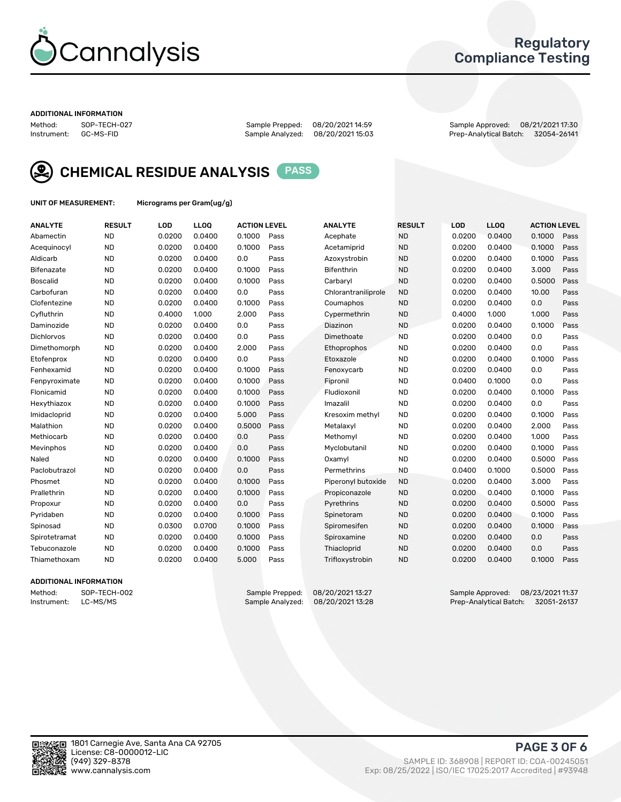

## Regulatory Compliance Testing

#### ADDITIONAL INFORMATION

Sample Analyzed: 08/20/2021 15:03

Method: SOP-TECH-027 Sample Prepped: 08/20/2021 14:59 Sample Approved: 08/21/2021 17:30



CHEMICAL RESIDUE ANALYSIS PASS

UNIT OF MEASUREMENT: Micrograms per Gram(ug/g)

| <b>ANALYTE</b>    | <b>RESULT</b> | LOD    | LLOQ   | <b>ACTION LEVEL</b> |      | <b>ANALYTE</b>      | <b>RESULT</b> | <b>LOD</b> | <b>LLOQ</b> | <b>ACTION LEVEL</b> |      |
|-------------------|---------------|--------|--------|---------------------|------|---------------------|---------------|------------|-------------|---------------------|------|
| Abamectin         | <b>ND</b>     | 0.0200 | 0.0400 | 0.1000              | Pass | Acephate            | <b>ND</b>     | 0.0200     | 0.0400      | 0.1000              | Pass |
| Acequinocyl       | <b>ND</b>     | 0.0200 | 0.0400 | 0.1000              | Pass | Acetamiprid         | <b>ND</b>     | 0.0200     | 0.0400      | 0.1000              | Pass |
| Aldicarb          | <b>ND</b>     | 0.0200 | 0.0400 | 0.0                 | Pass | Azoxystrobin        | <b>ND</b>     | 0.0200     | 0.0400      | 0.1000              | Pass |
| Bifenazate        | <b>ND</b>     | 0.0200 | 0.0400 | 0.1000              | Pass | <b>Bifenthrin</b>   | <b>ND</b>     | 0.0200     | 0.0400      | 3.000               | Pass |
| <b>Boscalid</b>   | <b>ND</b>     | 0.0200 | 0.0400 | 0.1000              | Pass | Carbarvl            | <b>ND</b>     | 0.0200     | 0.0400      | 0.5000              | Pass |
| Carbofuran        | <b>ND</b>     | 0.0200 | 0.0400 | 0.0                 | Pass | Chlorantraniliprole | <b>ND</b>     | 0.0200     | 0.0400      | 10.00               | Pass |
| Clofentezine      | <b>ND</b>     | 0.0200 | 0.0400 | 0.1000              | Pass | Coumaphos           | <b>ND</b>     | 0.0200     | 0.0400      | 0.0                 | Pass |
| Cyfluthrin        | <b>ND</b>     | 0.4000 | 1.000  | 2.000               | Pass | Cypermethrin        | <b>ND</b>     | 0.4000     | 1.000       | 1.000               | Pass |
| Daminozide        | <b>ND</b>     | 0.0200 | 0.0400 | 0.0                 | Pass | Diazinon            | <b>ND</b>     | 0.0200     | 0.0400      | 0.1000              | Pass |
| <b>Dichlorvos</b> | <b>ND</b>     | 0.0200 | 0.0400 | 0.0                 | Pass | Dimethoate          | <b>ND</b>     | 0.0200     | 0.0400      | 0.0                 | Pass |
| Dimethomorph      | <b>ND</b>     | 0.0200 | 0.0400 | 2.000               | Pass | <b>Ethoprophos</b>  | <b>ND</b>     | 0.0200     | 0.0400      | 0.0                 | Pass |
| Etofenprox        | <b>ND</b>     | 0.0200 | 0.0400 | 0.0                 | Pass | Etoxazole           | <b>ND</b>     | 0.0200     | 0.0400      | 0.1000              | Pass |
| Fenhexamid        | <b>ND</b>     | 0.0200 | 0.0400 | 0.1000              | Pass | Fenoxycarb          | <b>ND</b>     | 0.0200     | 0.0400      | 0.0                 | Pass |
| Fenpyroximate     | <b>ND</b>     | 0.0200 | 0.0400 | 0.1000              | Pass | Fipronil            | <b>ND</b>     | 0.0400     | 0.1000      | 0.0                 | Pass |
| Flonicamid        | <b>ND</b>     | 0.0200 | 0.0400 | 0.1000              | Pass | Fludioxonil         | <b>ND</b>     | 0.0200     | 0.0400      | 0.1000              | Pass |
| Hexythiazox       | <b>ND</b>     | 0.0200 | 0.0400 | 0.1000              | Pass | Imazalil            | <b>ND</b>     | 0.0200     | 0.0400      | 0.0                 | Pass |
| Imidacloprid      | <b>ND</b>     | 0.0200 | 0.0400 | 5.000               | Pass | Kresoxim methyl     | <b>ND</b>     | 0.0200     | 0.0400      | 0.1000              | Pass |
| Malathion         | <b>ND</b>     | 0.0200 | 0.0400 | 0.5000              | Pass | Metalaxyl           | <b>ND</b>     | 0.0200     | 0.0400      | 2.000               | Pass |
| Methiocarb        | <b>ND</b>     | 0.0200 | 0.0400 | 0.0                 | Pass | Methomyl            | <b>ND</b>     | 0.0200     | 0.0400      | 1.000               | Pass |
| Mevinphos         | <b>ND</b>     | 0.0200 | 0.0400 | 0.0                 | Pass | Myclobutanil        | <b>ND</b>     | 0.0200     | 0.0400      | 0.1000              | Pass |
| Naled             | <b>ND</b>     | 0.0200 | 0.0400 | 0.1000              | Pass | Oxamyl              | <b>ND</b>     | 0.0200     | 0.0400      | 0.5000              | Pass |
| Paclobutrazol     | <b>ND</b>     | 0.0200 | 0.0400 | 0.0                 | Pass | Permethrins         | <b>ND</b>     | 0.0400     | 0.1000      | 0.5000              | Pass |
| Phosmet           | <b>ND</b>     | 0.0200 | 0.0400 | 0.1000              | Pass | Piperonyl butoxide  | <b>ND</b>     | 0.0200     | 0.0400      | 3.000               | Pass |
| Prallethrin       | <b>ND</b>     | 0.0200 | 0.0400 | 0.1000              | Pass | Propiconazole       | <b>ND</b>     | 0.0200     | 0.0400      | 0.1000              | Pass |
| Propoxur          | <b>ND</b>     | 0.0200 | 0.0400 | 0.0                 | Pass | Pyrethrins          | <b>ND</b>     | 0.0200     | 0.0400      | 0.5000              | Pass |
| Pyridaben         | <b>ND</b>     | 0.0200 | 0.0400 | 0.1000              | Pass | Spinetoram          | <b>ND</b>     | 0.0200     | 0.0400      | 0.1000              | Pass |
| Spinosad          | <b>ND</b>     | 0.0300 | 0.0700 | 0.1000              | Pass | Spiromesifen        | <b>ND</b>     | 0.0200     | 0.0400      | 0.1000              | Pass |
| Spirotetramat     | <b>ND</b>     | 0.0200 | 0.0400 | 0.1000              | Pass | Spiroxamine         | <b>ND</b>     | 0.0200     | 0.0400      | 0.0                 | Pass |
| Tebuconazole      | <b>ND</b>     | 0.0200 | 0.0400 | 0.1000              | Pass | Thiacloprid         | <b>ND</b>     | 0.0200     | 0.0400      | 0.0                 | Pass |
| Thiamethoxam      | <b>ND</b>     | 0.0200 | 0.0400 | 5.000               | Pass | Trifloxystrobin     | <b>ND</b>     | 0.0200     | 0.0400      | 0.1000              | Pass |

#### ADDITIONAL INFORMATION

Method: SOP-TECH-002 Sample Prepped: 08/20/202113:27<br>Instrument: LC-MS/MS Sample Analyzed: 08/20/202113:28 Prep-Analytical Batch: 32051-26137 Prep-Analytical Batch: 32051-26137

PAGE 3 OF 6

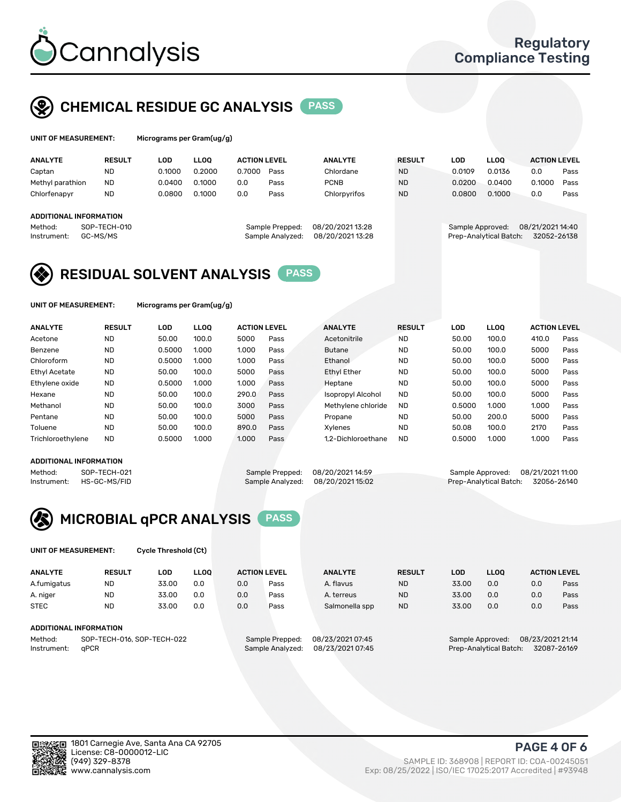

## CHEMICAL RESIDUE GC ANALYSIS PASS

| UNIT OF MEASUREMENT: | м |
|----------------------|---|
|                      |   |

icrograms per Gram(ug/g)

| <b>ANALYTE</b>                | <b>RESULT</b> | LOD    | <b>LLOO</b> | <b>ACTION LEVEL</b> |                  | <b>ANALYTE</b>   | <b>RESULT</b> | LOD              | <b>LLOO</b>            | <b>ACTION LEVEL</b> |      |
|-------------------------------|---------------|--------|-------------|---------------------|------------------|------------------|---------------|------------------|------------------------|---------------------|------|
| Captan                        | <b>ND</b>     | 0.1000 | 0.2000      | 0.7000              | Pass             | Chlordane        | <b>ND</b>     | 0.0109           | 0.0136                 | 0.0                 | Pass |
| Methyl parathion              | <b>ND</b>     | 0.0400 | 0.1000      | 0.0                 | Pass             | <b>PCNB</b>      | <b>ND</b>     | 0.0200           | 0.0400                 | 0.1000              | Pass |
| Chlorfenapyr                  | <b>ND</b>     | 0.0800 | 0.1000      | 0.0                 | Pass             | Chlorpyrifos     | <b>ND</b>     | 0.0800           | 0.1000                 | 0.0                 | Pass |
|                               |               |        |             |                     |                  |                  |               |                  |                        |                     |      |
| <b>ADDITIONAL INFORMATION</b> |               |        |             |                     |                  |                  |               |                  |                        |                     |      |
| Method:                       | SOP-TECH-010  |        |             |                     | Sample Prepped:  | 08/20/2021 13:28 |               | Sample Approved: |                        | 08/21/2021 14:40    |      |
| Instrument:                   | GC-MS/MS      |        |             |                     | Sample Analyzed: | 08/20/2021 13:28 |               |                  | Prep-Analytical Batch: | 32052-26138         |      |
|                               |               |        |             |                     |                  |                  |               |                  |                        |                     |      |

## RESIDUAL SOLVENT ANALYSIS PASS

UNIT OF MEASUREMENT: Micrograms per Gram(ug/g)

| <b>ANALYTE</b>    | <b>RESULT</b> | LOD    | <b>LLOO</b> | <b>ACTION LEVEL</b> |      | <b>ANALYTE</b>           | <b>RESULT</b> | LOD    | <b>LLOO</b> | <b>ACTION LEVEL</b> |      |
|-------------------|---------------|--------|-------------|---------------------|------|--------------------------|---------------|--------|-------------|---------------------|------|
| Acetone           | <b>ND</b>     | 50.00  | 100.0       | 5000                | Pass | Acetonitrile             | <b>ND</b>     | 50.00  | 100.0       | 410.0               | Pass |
| Benzene           | <b>ND</b>     | 0.5000 | 1.000       | 1.000               | Pass | <b>Butane</b>            | <b>ND</b>     | 50.00  | 100.0       | 5000                | Pass |
| Chloroform        | <b>ND</b>     | 0.5000 | 1.000       | 1.000               | Pass | Ethanol                  | <b>ND</b>     | 50.00  | 100.0       | 5000                | Pass |
| Ethyl Acetate     | <b>ND</b>     | 50.00  | 100.0       | 5000                | Pass | <b>Ethyl Ether</b>       | <b>ND</b>     | 50.00  | 100.0       | 5000                | Pass |
| Ethylene oxide    | <b>ND</b>     | 0.5000 | 1.000       | 1.000               | Pass | Heptane                  | <b>ND</b>     | 50.00  | 100.0       | 5000                | Pass |
| Hexane            | <b>ND</b>     | 50.00  | 100.0       | 290.0               | Pass | <b>Isopropyl Alcohol</b> | <b>ND</b>     | 50.00  | 100.0       | 5000                | Pass |
| Methanol          | <b>ND</b>     | 50.00  | 100.0       | 3000                | Pass | Methylene chloride       | <b>ND</b>     | 0.5000 | 1.000       | 1.000               | Pass |
| Pentane           | <b>ND</b>     | 50.00  | 100.0       | 5000                | Pass | Propane                  | <b>ND</b>     | 50.00  | 200.0       | 5000                | Pass |
| Toluene           | <b>ND</b>     | 50.00  | 100.0       | 890.0               | Pass | Xvlenes                  | <b>ND</b>     | 50.08  | 100.0       | 2170                | Pass |
| Trichloroethylene | <b>ND</b>     | 0.5000 | 1.000       | 1.000               | Pass | 1.2-Dichloroethane       | <b>ND</b>     | 0.5000 | 1.000       | 1.000               | Pass |

#### ADDITIONAL INFORMATION

Method: SOP-TECH-021 Sample Prepped: 08/20/202114:59 Sample Approved: 08/21/2021 11:00<br>Instrument: HS-GC-MS/FID Sample Analyzed: 08/20/2021 15:02 Prep-Analytical Batch: 32056-26140 Prep-Analytical Batch: 32056-26140



UNIT OF MEASUREMENT: Cycle Threshold (Ct)

| <b>ANALYTE</b> | <b>RESULT</b>                 | LOD   | <b>LLOO</b> |     | <b>ACTION LEVEL</b> | <b>ANALYTE</b>   | <b>RESULT</b> | <b>LOD</b> | <b>LLOO</b>      |                  | <b>ACTION LEVEL</b> |
|----------------|-------------------------------|-------|-------------|-----|---------------------|------------------|---------------|------------|------------------|------------------|---------------------|
| A.fumigatus    | <b>ND</b>                     | 33.00 | 0.0         | 0.0 | Pass                | A. flavus        | <b>ND</b>     | 33.00      | 0.0              | 0.0              | Pass                |
| A. niger       | <b>ND</b>                     | 33.00 | 0.0         | 0.0 | Pass                | A. terreus       | <b>ND</b>     | 33.00      | 0.0              | 0.0              | Pass                |
| <b>STEC</b>    | <b>ND</b>                     | 33.00 | 0.0         | 0.0 | Pass                | Salmonella spp   | <b>ND</b>     | 33.00      | 0.0              | 0.0              | Pass                |
|                | <b>ADDITIONAL INFORMATION</b> |       |             |     |                     |                  |               |            |                  |                  |                     |
| Method:        | SOP-TECH-016, SOP-TECH-022    |       |             |     | Sample Prepped:     | 08/23/2021 07:45 |               |            | Sample Approved: | 08/23/2021 21:14 |                     |

Instrument: qPCR Sample Analyzed: 08/23/2021 07:45 Prep-Analytical Batch: 32087-26169

PAGE 4 OF 6

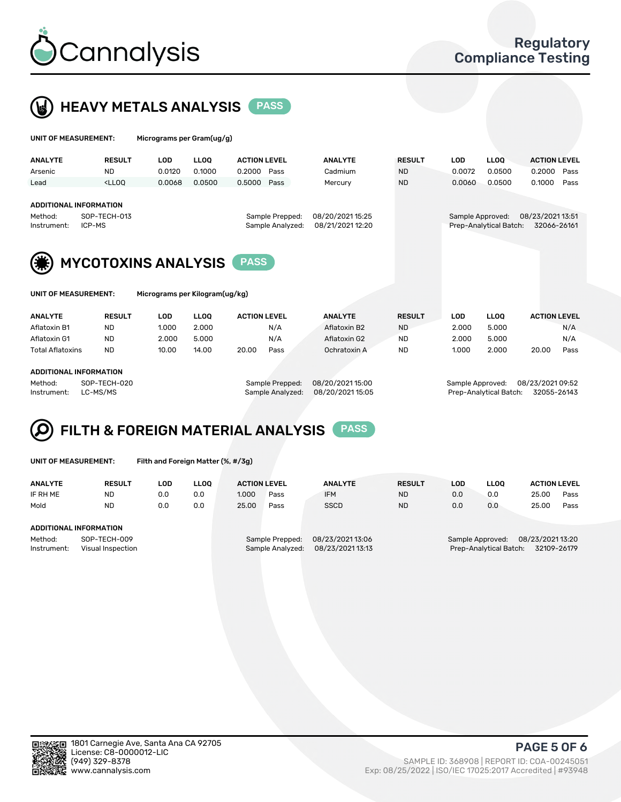



| UNIT OF MEASUREMENT:   |                                                                                                                                                                                      | Micrograms per Gram(ug/g)      |             |                     |      |                |  |               |                  |                        |                                 |      |  |  |
|------------------------|--------------------------------------------------------------------------------------------------------------------------------------------------------------------------------------|--------------------------------|-------------|---------------------|------|----------------|--|---------------|------------------|------------------------|---------------------------------|------|--|--|
| <b>ANALYTE</b>         | <b>RESULT</b>                                                                                                                                                                        | <b>LOD</b>                     | <b>LLOO</b> | <b>ACTION LEVEL</b> |      | <b>ANALYTE</b> |  | <b>RESULT</b> | <b>LOD</b>       | LLOO <sup>1</sup>      | <b>ACTION LEVEL</b>             |      |  |  |
| Arsenic                | <b>ND</b>                                                                                                                                                                            | 0.0120                         | 0.1000      | 0.2000              | Pass | Cadmium        |  | <b>ND</b>     | 0.0072           | 0.0500                 | 0.2000                          | Pass |  |  |
| Lead                   | <lloq< td=""><td>0.0068</td><td>0.0500</td><td>0.5000</td><td>Pass</td><td>Mercury</td><td></td><td><b>ND</b></td><td>0.0060</td><td>0.0500</td><td>0.1000</td><td>Pass</td></lloq<> | 0.0068                         | 0.0500      | 0.5000              | Pass | Mercury        |  | <b>ND</b>     | 0.0060           | 0.0500                 | 0.1000                          | Pass |  |  |
| Method:<br>Instrument: | <b>ADDITIONAL INFORMATION</b><br>08/20/202115:25<br>SOP-TECH-013<br>Sample Prepped:<br>08/21/2021 12:20<br>ICP-MS<br>Sample Analyzed:                                                |                                |             |                     |      |                |  |               | Sample Approved: | Prep-Analytical Batch: | 08/23/2021 13:51<br>32066-26161 |      |  |  |
|                        | <b>MYCOTOXINS ANALYSIS</b><br><b>PASS</b>                                                                                                                                            |                                |             |                     |      |                |  |               |                  |                        |                                 |      |  |  |
| UNIT OF MEASUREMENT:   |                                                                                                                                                                                      | Micrograms per Kilogram(ug/kg) |             |                     |      |                |  |               |                  |                        |                                 |      |  |  |
| <b>ANALYTE</b>         | <b>RESULT</b>                                                                                                                                                                        | <b>LOD</b>                     | <b>LLOO</b> | <b>ACTION LEVEL</b> |      | <b>ANALYTE</b> |  | <b>RESULT</b> | <b>LOD</b>       | <b>LLOQ</b>            | <b>ACTION LEVEL</b>             |      |  |  |
| Aflatoxin B1           | <b>ND</b>                                                                                                                                                                            | 1.000                          | 2.000       |                     | N/A  | Aflatoxin B2   |  | <b>ND</b>     | 2.000            | 5.000                  |                                 | N/A  |  |  |
| Aflatoxin G1           | <b>ND</b>                                                                                                                                                                            | 2.000                          | 5.000       |                     | N/A  | Aflatoxin G2   |  | <b>ND</b>     | 2.000            | 5.000                  |                                 | N/A  |  |  |

Total Aflatoxins ND 10.00 14.00 20.00 Pass Ochratoxin A ND 1.000 2.000 20.00 Pass

#### ADDITIONAL INFORMATION

Method: SOP-TECH-020 Sample Prepped: 08/20/2021 15:00 Sample Approved: 08/23/2021 09:52 Instrument: LC-MS/MS Sample Analyzed: 08/20/2021 15:05 Prep-Analytical Batch: 32055-26143

## FILTH & FOREIGN MATERIAL ANALYSIS PASS

UNIT OF MEASUREMENT: Filth and Foreign Matter (%, #/3g)

| <b>ANALYTE</b>                                              | <b>RESULT</b> | LOD | <b>LLOO</b> | <b>ACTION LEVEL</b>                                                        |      | <b>ANALYTE</b> | <b>RESULT</b> | LOD                                                                           | <b>LLOO</b> | <b>ACTION LEVEL</b> |      |
|-------------------------------------------------------------|---------------|-----|-------------|----------------------------------------------------------------------------|------|----------------|---------------|-------------------------------------------------------------------------------|-------------|---------------------|------|
| IF RH ME                                                    | <b>ND</b>     | 0.0 | 0.0         | 1.000                                                                      | Pass | <b>IFM</b>     | <b>ND</b>     | 0.0                                                                           | 0.0         | 25.00               | Pass |
| Mold                                                        | <b>ND</b>     | 0.0 | 0.0         | 25.00                                                                      | Pass | <b>SSCD</b>    | <b>ND</b>     | 0.0                                                                           | 0.0         | 25.00               | Pass |
| ADDITIONAL INFORMATION                                      |               |     |             |                                                                            |      |                |               |                                                                               |             |                     |      |
| SOP-TECH-009<br>Method:<br>Instrument:<br>Visual Inspection |               |     |             | 08/23/2021 13:06<br>Sample Prepped:<br>08/23/202113:13<br>Sample Analyzed: |      |                |               | 08/23/2021 13:20<br>Sample Approved:<br>Prep-Analytical Batch:<br>32109-26179 |             |                     |      |